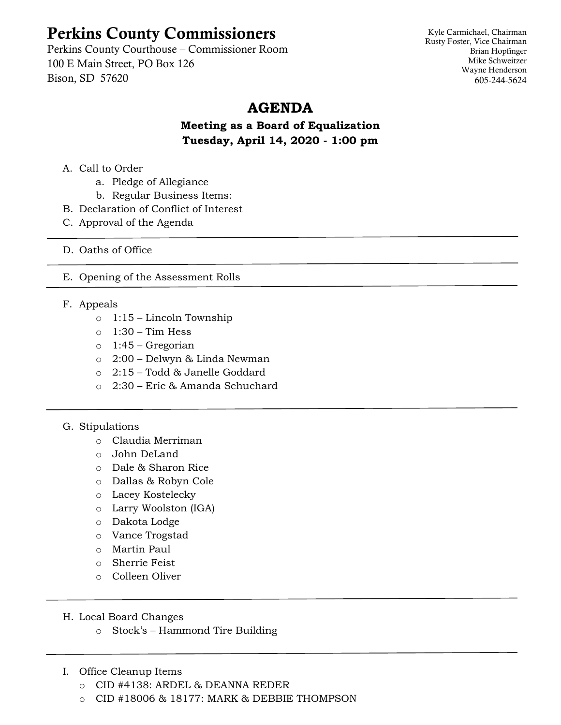## Perkins County Commissioners

Perkins County Courthouse – Commissioner Room 100 E Main Street, PO Box 126 Bison, SD 57620

Kyle Carmichael, Chairman Rusty Foster, Vice Chairman Brian Hopfinger Mike Schweitzer Wayne Henderson 605-244-5624

## **AGENDA**

**Meeting as a Board of Equalization Tuesday, April 14, 2020 - 1:00 pm**

- A. Call to Order
	- a. Pledge of Allegiance
	- b. Regular Business Items:
- B. Declaration of Conflict of Interest
- C. Approval of the Agenda
- D. Oaths of Office
- E. Opening of the Assessment Rolls
- F. Appeals
	- o 1:15 Lincoln Township
	- $\circ$  1:30 Tim Hess
	- o 1:45 Gregorian
	- o 2:00 Delwyn & Linda Newman
	- o 2:15 Todd & Janelle Goddard
	- o 2:30 Eric & Amanda Schuchard
- G. Stipulations
	- o Claudia Merriman
	- o John DeLand
	- o Dale & Sharon Rice
	- o Dallas & Robyn Cole
	- o Lacey Kostelecky
	- o Larry Woolston (IGA)
	- o Dakota Lodge
	- o Vance Trogstad
	- o Martin Paul
	- o Sherrie Feist
	- o Colleen Oliver
- H. Local Board Changes
	- o Stock's Hammond Tire Building
- I. Office Cleanup Items
	- o CID #4138: ARDEL & DEANNA REDER
	- o CID #18006 & 18177: MARK & DEBBIE THOMPSON